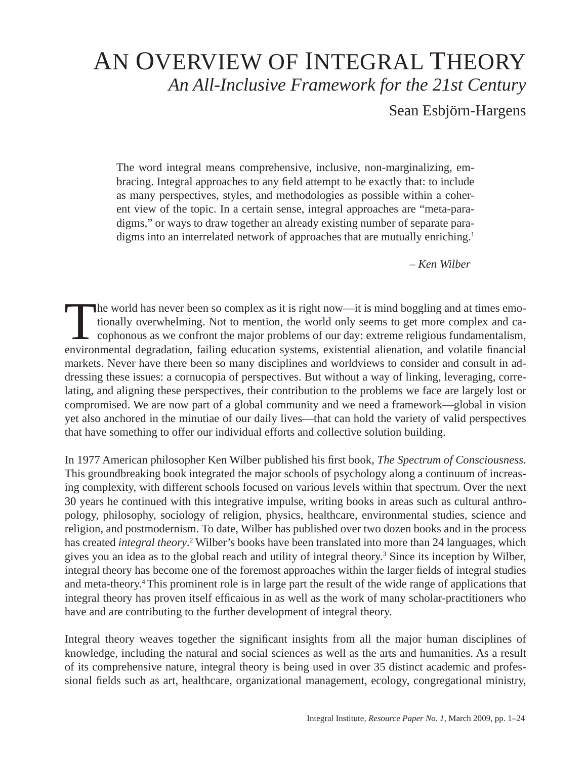# AN OVERVIEW OF INTEGRAL THEORY *An All-Inclusive Framework for the 21st Century*

Sean Esbjörn-Hargens

The word integral means comprehensive, inclusive, non-marginalizing, embracing. Integral approaches to any field attempt to be exactly that: to include as many perspectives, styles, and methodologies as possible within a coherent view of the topic. In a certain sense, integral approaches are "meta-paradigms," or ways to draw together an already existing number of separate paradigms into an interrelated network of approaches that are mutually enriching.<sup>1</sup>

*– Ken Wilber* 

The world has never been so complex as it is right now—it is mind boggling and at times emotionally overwhelming. Not to mention, the world only seems to get more complex and ca- $\mathsf{\mathsf{L}}$  cophonous as we confront the major problems of our day: extreme religious fundamentalism, environmental degradation, failing education systems, existential alienation, and volatile financial markets. Never have there been so many disciplines and worldviews to consider and consult in addressing these issues: a cornucopia of perspectives. But without a way of linking, leveraging, correlating, and aligning these perspectives, their contribution to the problems we face are largely lost or compromised. We are now part of a global community and we need a framework—global in vision yet also anchored in the minutiae of our daily lives—that can hold the variety of valid perspectives that have something to offer our individual efforts and collective solution building.

In 1977 American philosopher Ken Wilber published his first book, *The Spectrum of Consciousness*. This groundbreaking book integrated the major schools of psychology along a continuum of increasing complexity, with different schools focused on various levels within that spectrum. Over the next 30 years he continued with this integrative impulse, writing books in areas such as cultural anthropology, philosophy, sociology of religion, physics, healthcare, environmental studies, science and religion, and postmodernism. To date, Wilber has published over two dozen books and in the process has created *integral theory*.<sup>2</sup> Wilber's books have been translated into more than 24 languages, which gives you an idea as to the global reach and utility of integral theory.<sup>3</sup> Since its inception by Wilber, integral theory has become one of the foremost approaches within the larger fields of integral studies and meta-theory.4 This prominent role is in large part the result of the wide range of applications that integral theory has proven itself efficaious in as well as the work of many scholar-practitioners who have and are contributing to the further development of integral theory.

Integral theory weaves together the significant insights from all the major human disciplines of knowledge, including the natural and social sciences as well as the arts and humanities. As a result of its comprehensive nature, integral theory is being used in over 35 distinct academic and professional fields such as art, healthcare, organizational management, ecology, congregational ministry,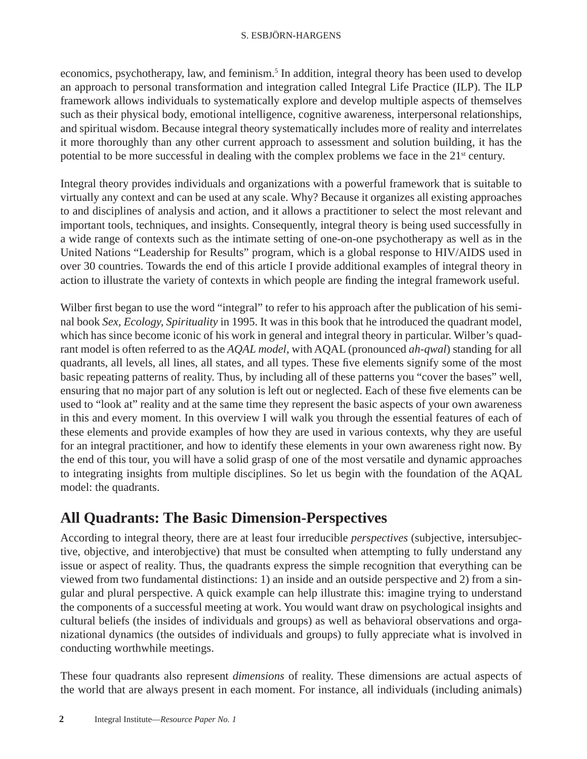economics, psychotherapy, law, and feminism.<sup>5</sup> In addition, integral theory has been used to develop an approach to personal transformation and integration called Integral Life Practice (ILP). The ILP framework allows individuals to systematically explore and develop multiple aspects of themselves such as their physical body, emotional intelligence, cognitive awareness, interpersonal relationships, and spiritual wisdom. Because integral theory systematically includes more of reality and interrelates it more thoroughly than any other current approach to assessment and solution building, it has the potential to be more successful in dealing with the complex problems we face in the  $21<sup>st</sup>$  century.

Integral theory provides individuals and organizations with a powerful framework that is suitable to virtually any context and can be used at any scale. Why? Because it organizes all existing approaches to and disciplines of analysis and action, and it allows a practitioner to select the most relevant and important tools, techniques, and insights. Consequently, integral theory is being used successfully in a wide range of contexts such as the intimate setting of one-on-one psychotherapy as well as in the United Nations "Leadership for Results" program, which is a global response to HIV/AIDS used in over 30 countries. Towards the end of this article I provide additional examples of integral theory in action to illustrate the variety of contexts in which people are finding the integral framework useful.

Wilber first began to use the word "integral" to refer to his approach after the publication of his seminal book *Sex, Ecology, Spirituality* in 1995. It was in this book that he introduced the quadrant model, which has since become iconic of his work in general and integral theory in particular. Wilber's quadrant model is often referred to as the *AQAL model*, with AQAL (pronounced *ah-qwal*) standing for all quadrants, all levels, all lines, all states, and all types. These five elements signify some of the most basic repeating patterns of reality. Thus, by including all of these patterns you "cover the bases" well, ensuring that no major part of any solution is left out or neglected. Each of these five elements can be used to "look at" reality and at the same time they represent the basic aspects of your own awareness in this and every moment. In this overview I will walk you through the essential features of each of these elements and provide examples of how they are used in various contexts, why they are useful for an integral practitioner, and how to identify these elements in your own awareness right now. By the end of this tour, you will have a solid grasp of one of the most versatile and dynamic approaches to integrating insights from multiple disciplines. So let us begin with the foundation of the AQAL model: the quadrants.

## **All Quadrants: The Basic Dimension-Perspectives**

According to integral theory, there are at least four irreducible *perspectives* (subjective, intersubjective, objective, and interobjective) that must be consulted when attempting to fully understand any issue or aspect of reality. Thus, the quadrants express the simple recognition that everything can be viewed from two fundamental distinctions: 1) an inside and an outside perspective and 2) from a singular and plural perspective. A quick example can help illustrate this: imagine trying to understand the components of a successful meeting at work. You would want draw on psychological insights and cultural beliefs (the insides of individuals and groups) as well as behavioral observations and organizational dynamics (the outsides of individuals and groups) to fully appreciate what is involved in conducting worthwhile meetings.

These four quadrants also represent *dimensions* of reality. These dimensions are actual aspects of the world that are always present in each moment. For instance, all individuals (including animals)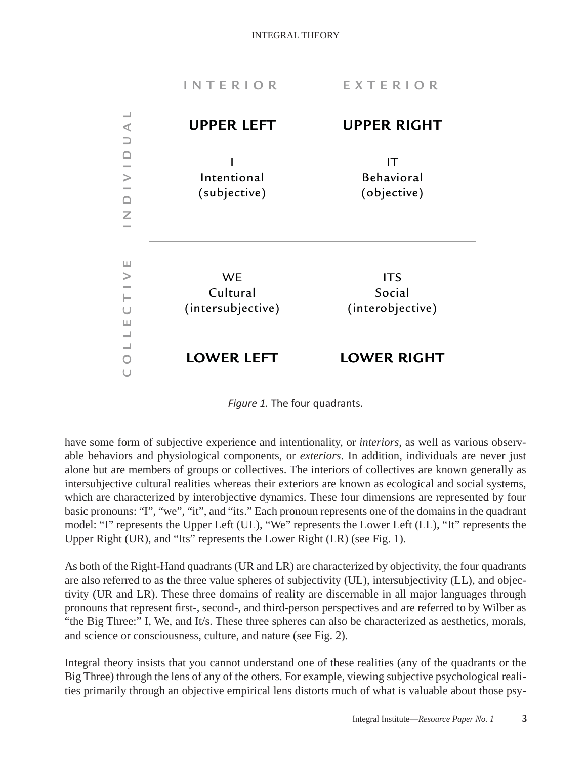



have some form of subjective experience and intentionality, or *interiors*, as well as various observable behaviors and physiological components, or *exteriors*. In addition, individuals are never just alone but are members of groups or collectives. The interiors of collectives are known generally as intersubjective cultural realities whereas their exteriors are known as ecological and social systems, which are characterized by interobjective dynamics. These four dimensions are represented by four basic pronouns: "I", "we", "it", and "its." Each pronoun represents one of the domains in the quadrant model: "I" represents the Upper Left (UL), "We" represents the Lower Left (LL), "It" represents the Upper Right (UR), and "Its" represents the Lower Right (LR) (see Fig. 1).

As both of the Right-Hand quadrants (UR and LR) are characterized by objectivity, the four quadrants are also referred to as the three value spheres of subjectivity (UL), intersubjectivity (LL), and objectivity (UR and LR). These three domains of reality are discernable in all major languages through pronouns that represent first-, second-, and third-person perspectives and are referred to by Wilber as "the Big Three:" I, We, and It/s. These three spheres can also be characterized as aesthetics, morals, and science or consciousness, culture, and nature (see Fig. 2).

Integral theory insists that you cannot understand one of these realities (any of the quadrants or the Big Three) through the lens of any of the others. For example, viewing subjective psychological realities primarily through an objective empirical lens distorts much of what is valuable about those psy-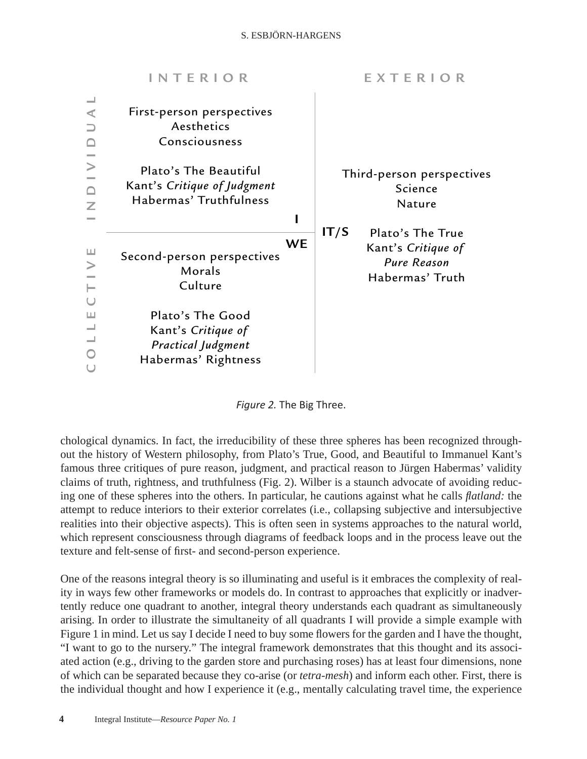|   | <b>INTERIOR</b>                                                                            | EXTERIOR                                                                                |
|---|--------------------------------------------------------------------------------------------|-----------------------------------------------------------------------------------------|
| ⋖ | First-person perspectives<br>Aesthetics<br>Consciousness                                   |                                                                                         |
| Z | Plato's The Beautiful<br>Kant's Critique of Judgment<br>Habermas' Truthfulness             | Third-person perspectives<br>Science<br><b>Nature</b>                                   |
| ш | <b>WE</b><br>Second-person perspectives<br>Morals<br>Culture                               | IT/S<br>Plato's The True<br>Kant's Critique of<br><b>Pure Reason</b><br>Habermas' Truth |
| ш | Plato's The Good<br>Kant's Critique of<br><b>Practical Judgment</b><br>Habermas' Rightness |                                                                                         |

*Figure 2.* The Big Three.

chological dynamics. In fact, the irreducibility of these three spheres has been recognized throughout the history of Western philosophy, from Plato's True, Good, and Beautiful to Immanuel Kant's famous three critiques of pure reason, judgment, and practical reason to Jürgen Habermas' validity claims of truth, rightness, and truthfulness (Fig. 2). Wilber is a staunch advocate of avoiding reducing one of these spheres into the others. In particular, he cautions against what he calls *fl atland:* the attempt to reduce interiors to their exterior correlates (i.e., collapsing subjective and intersubjective realities into their objective aspects). This is often seen in systems approaches to the natural world, which represent consciousness through diagrams of feedback loops and in the process leave out the texture and felt-sense of first- and second-person experience.

One of the reasons integral theory is so illuminating and useful is it embraces the complexity of reality in ways few other frameworks or models do. In contrast to approaches that explicitly or inadvertently reduce one quadrant to another, integral theory understands each quadrant as simultaneously arising. In order to illustrate the simultaneity of all quadrants I will provide a simple example with Figure 1 in mind. Let us say I decide I need to buy some flowers for the garden and I have the thought, "I want to go to the nursery." The integral framework demonstrates that this thought and its associated action (e.g., driving to the garden store and purchasing roses) has at least four dimensions, none of which can be separated because they co-arise (or *tetra-mesh*) and inform each other. First, there is the individual thought and how I experience it (e.g., mentally calculating travel time, the experience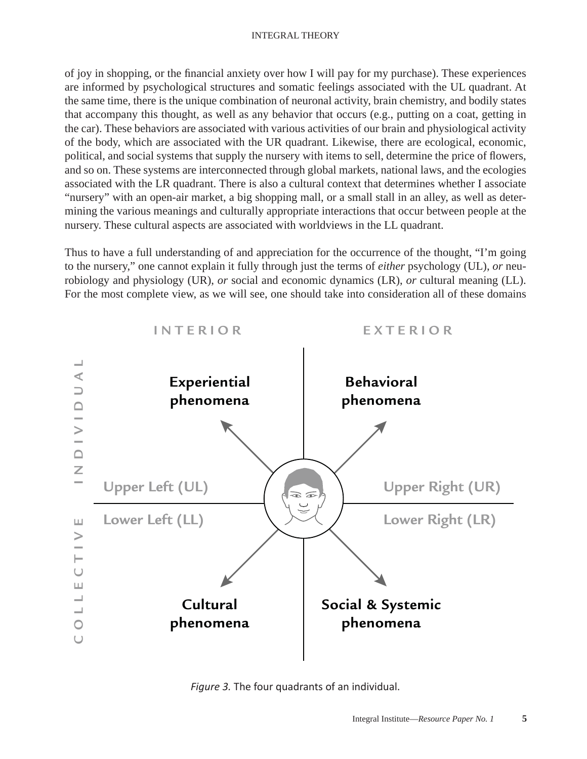#### INTEGRAL THEORY

of joy in shopping, or the financial anxiety over how I will pay for my purchase). These experiences are informed by psychological structures and somatic feelings associated with the UL quadrant. At the same time, there is the unique combination of neuronal activity, brain chemistry, and bodily states that accompany this thought, as well as any behavior that occurs (e.g., putting on a coat, getting in the car). These behaviors are associated with various activities of our brain and physiological activity of the body, which are associated with the UR quadrant. Likewise, there are ecological, economic, political, and social systems that supply the nursery with items to sell, determine the price of flowers, and so on. These systems are interconnected through global markets, national laws, and the ecologies associated with the LR quadrant. There is also a cultural context that determines whether I associate "nursery" with an open-air market, a big shopping mall, or a small stall in an alley, as well as determining the various meanings and culturally appropriate interactions that occur between people at the nursery. These cultural aspects are associated with worldviews in the LL quadrant.

Thus to have a full understanding of and appreciation for the occurrence of the thought, "I'm going to the nursery," one cannot explain it fully through just the terms of *either* psychology (UL), *or* neurobiology and physiology (UR), *or* social and economic dynamics (LR), *or* cultural meaning (LL). For the most complete view, as we will see, one should take into consideration all of these domains



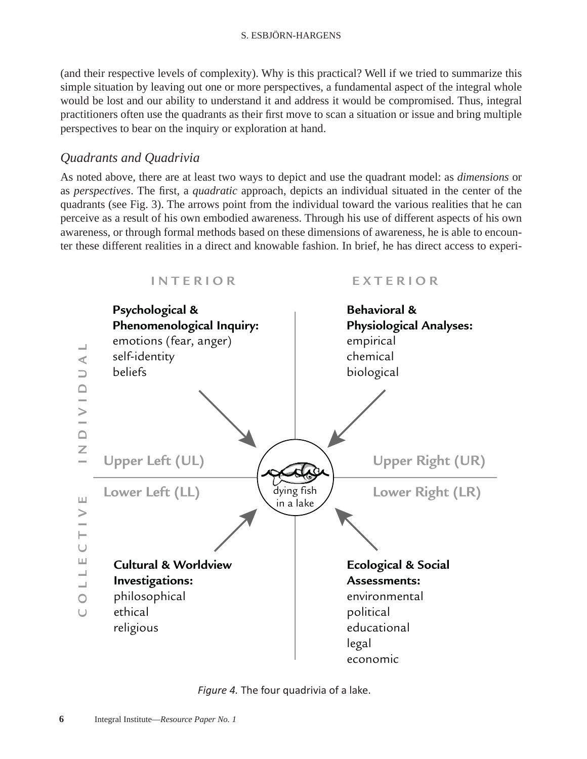(and their respective levels of complexity). Why is this practical? Well if we tried to summarize this simple situation by leaving out one or more perspectives, a fundamental aspect of the integral whole would be lost and our ability to understand it and address it would be compromised. Thus, integral practitioners often use the quadrants as their first move to scan a situation or issue and bring multiple perspectives to bear on the inquiry or exploration at hand.

### *Quadrants and Quadrivia*

As noted above, there are at least two ways to depict and use the quadrant model: as *dimensions* or as *perspectives*. The first, a *quadratic* approach, depicts an individual situated in the center of the quadrants (see Fig. 3). The arrows point from the individual toward the various realities that he can perceive as a result of his own embodied awareness. Through his use of different aspects of his own awareness, or through formal methods based on these dimensions of awareness, he is able to encounter these different realities in a direct and knowable fashion. In brief, he has direct access to experi-



*Figure 4.* The four quadrivia of a lake.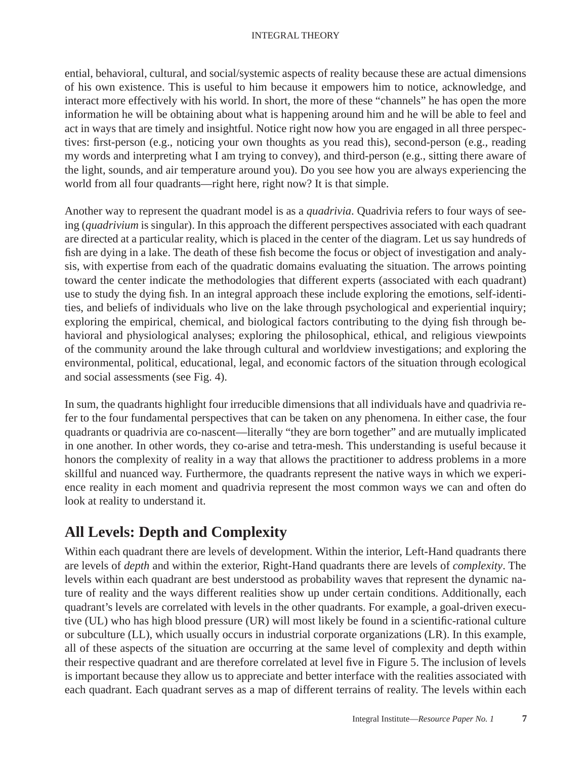ential, behavioral, cultural, and social/systemic aspects of reality because these are actual dimensions of his own existence. This is useful to him because it empowers him to notice, acknowledge, and interact more effectively with his world. In short, the more of these "channels" he has open the more information he will be obtaining about what is happening around him and he will be able to feel and act in ways that are timely and insightful. Notice right now how you are engaged in all three perspectives: first-person (e.g., noticing your own thoughts as you read this), second-person (e.g., reading my words and interpreting what I am trying to convey), and third-person (e.g., sitting there aware of the light, sounds, and air temperature around you). Do you see how you are always experiencing the world from all four quadrants—right here, right now? It is that simple.

Another way to represent the quadrant model is as a *quadrivia*. Quadrivia refers to four ways of seeing (*quadrivium* is singular). In this approach the different perspectives associated with each quadrant are directed at a particular reality, which is placed in the center of the diagram. Let us say hundreds of fish are dying in a lake. The death of these fish become the focus or object of investigation and analysis, with expertise from each of the quadratic domains evaluating the situation. The arrows pointing toward the center indicate the methodologies that different experts (associated with each quadrant) use to study the dying fish. In an integral approach these include exploring the emotions, self-identities, and beliefs of individuals who live on the lake through psychological and experiential inquiry; exploring the empirical, chemical, and biological factors contributing to the dying fish through behavioral and physiological analyses; exploring the philosophical, ethical, and religious viewpoints of the community around the lake through cultural and worldview investigations; and exploring the environmental, political, educational, legal, and economic factors of the situation through ecological and social assessments (see Fig. 4).

In sum, the quadrants highlight four irreducible dimensions that all individuals have and quadrivia refer to the four fundamental perspectives that can be taken on any phenomena. In either case, the four quadrants or quadrivia are co-nascent—literally "they are born together" and are mutually implicated in one another. In other words, they co-arise and tetra-mesh. This understanding is useful because it honors the complexity of reality in a way that allows the practitioner to address problems in a more skillful and nuanced way. Furthermore, the quadrants represent the native ways in which we experience reality in each moment and quadrivia represent the most common ways we can and often do look at reality to understand it.

## **All Levels: Depth and Complexity**

Within each quadrant there are levels of development. Within the interior, Left-Hand quadrants there are levels of *depth* and within the exterior, Right-Hand quadrants there are levels of *complexity*. The levels within each quadrant are best understood as probability waves that represent the dynamic nature of reality and the ways different realities show up under certain conditions. Additionally, each quadrant's levels are correlated with levels in the other quadrants. For example, a goal-driven executive (UL) who has high blood pressure (UR) will most likely be found in a scientific-rational culture or subculture (LL), which usually occurs in industrial corporate organizations (LR). In this example, all of these aspects of the situation are occurring at the same level of complexity and depth within their respective quadrant and are therefore correlated at level five in Figure 5. The inclusion of levels is important because they allow us to appreciate and better interface with the realities associated with each quadrant. Each quadrant serves as a map of different terrains of reality. The levels within each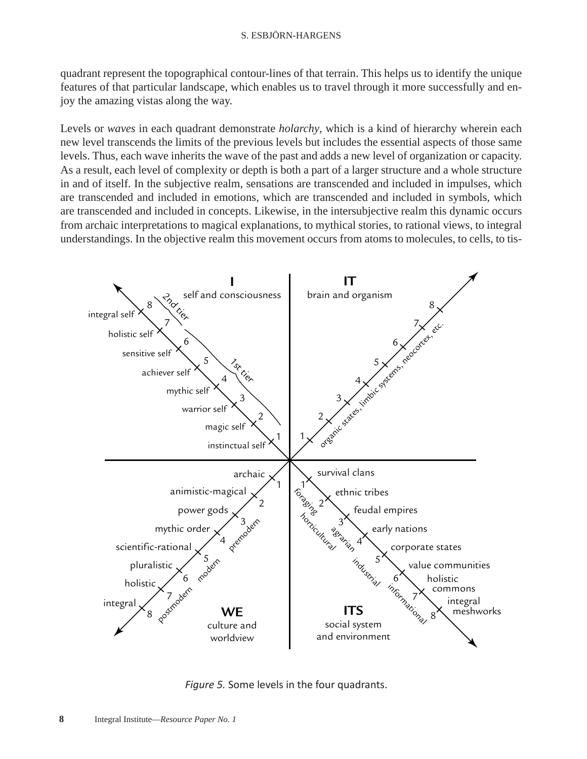quadrant represent the topographical contour-lines of that terrain. This helps us to identify the unique features of that particular landscape, which enables us to travel through it more successfully and enjoy the amazing vistas along the way.

Levels or *waves* in each quadrant demonstrate *holarchy*, which is a kind of hierarchy wherein each new level transcends the limits of the previous levels but includes the essential aspects of those same levels. Thus, each wave inherits the wave of the past and adds a new level of organization or capacity. As a result, each level of complexity or depth is both a part of a larger structure and a whole structure in and of itself. In the subjective realm, sensations are transcended and included in impulses, which are transcended and included in emotions, which are transcended and included in symbols, which are transcended and included in concepts. Likewise, in the intersubjective realm this dynamic occurs from archaic interpretations to magical explanations, to mythical stories, to rational views, to integral understandings. In the objective realm this movement occurs from atoms to molecules, to cells, to tis-



*Figure 5.* Some levels in the four quadrants.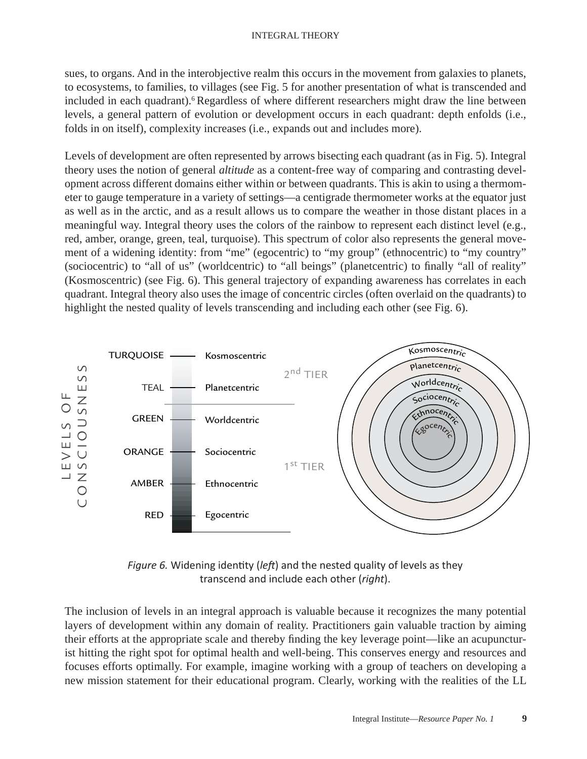sues, to organs. And in the interobjective realm this occurs in the movement from galaxies to planets, to ecosystems, to families, to villages (see Fig. 5 for another presentation of what is transcended and included in each quadrant).<sup>6</sup> Regardless of where different researchers might draw the line between levels, a general pattern of evolution or development occurs in each quadrant: depth enfolds (i.e., folds in on itself), complexity increases (i.e., expands out and includes more).

Levels of development are often represented by arrows bisecting each quadrant (as in Fig. 5). Integral theory uses the notion of general *altitude* as a content-free way of comparing and contrasting development across different domains either within or between quadrants. This is akin to using a thermometer to gauge temperature in a variety of settings—a centigrade thermometer works at the equator just as well as in the arctic, and as a result allows us to compare the weather in those distant places in a meaningful way. Integral theory uses the colors of the rainbow to represent each distinct level (e.g., red, amber, orange, green, teal, turquoise). This spectrum of color also represents the general movement of a widening identity: from "me" (egocentric) to "my group" (ethnocentric) to "my country" (sociocentric) to "all of us" (worldcentric) to "all beings" (planetcentric) to finally "all of reality" (Kosmoscentric) (see Fig. 6). This general trajectory of expanding awareness has correlates in each quadrant. Integral theory also uses the image of concentric circles (often overlaid on the quadrants) to highlight the nested quality of levels transcending and including each other (see Fig. 6).



*Figure 6.* Widening identity (*left*) and the nested quality of levels as they transcend and include each other (*right*).

The inclusion of levels in an integral approach is valuable because it recognizes the many potential layers of development within any domain of reality. Practitioners gain valuable traction by aiming their efforts at the appropriate scale and thereby finding the key leverage point—like an acupuncturist hitting the right spot for optimal health and well-being. This conserves energy and resources and focuses efforts optimally. For example, imagine working with a group of teachers on developing a new mission statement for their educational program. Clearly, working with the realities of the LL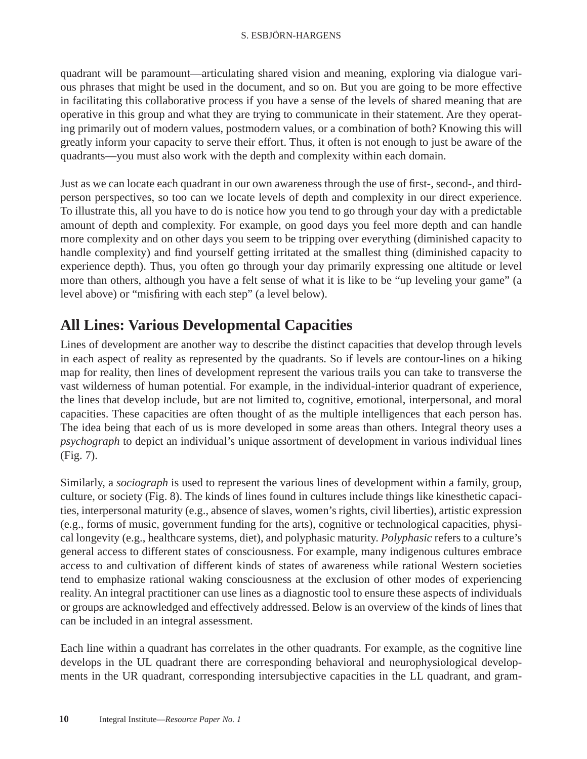quadrant will be paramount—articulating shared vision and meaning, exploring via dialogue various phrases that might be used in the document, and so on. But you are going to be more effective in facilitating this collaborative process if you have a sense of the levels of shared meaning that are operative in this group and what they are trying to communicate in their statement. Are they operating primarily out of modern values, postmodern values, or a combination of both? Knowing this will greatly inform your capacity to serve their effort. Thus, it often is not enough to just be aware of the quadrants—you must also work with the depth and complexity within each domain.

Just as we can locate each quadrant in our own awareness through the use of first-, second-, and thirdperson perspectives, so too can we locate levels of depth and complexity in our direct experience. To illustrate this, all you have to do is notice how you tend to go through your day with a predictable amount of depth and complexity. For example, on good days you feel more depth and can handle more complexity and on other days you seem to be tripping over everything (diminished capacity to handle complexity) and find yourself getting irritated at the smallest thing (diminished capacity to experience depth). Thus, you often go through your day primarily expressing one altitude or level more than others, although you have a felt sense of what it is like to be "up leveling your game" (a level above) or "misfiring with each step" (a level below).

## **All Lines: Various Developmental Capacities**

Lines of development are another way to describe the distinct capacities that develop through levels in each aspect of reality as represented by the quadrants. So if levels are contour-lines on a hiking map for reality, then lines of development represent the various trails you can take to transverse the vast wilderness of human potential. For example, in the individual-interior quadrant of experience, the lines that develop include, but are not limited to, cognitive, emotional, interpersonal, and moral capacities. These capacities are often thought of as the multiple intelligences that each person has. The idea being that each of us is more developed in some areas than others. Integral theory uses a *psychograph* to depict an individual's unique assortment of development in various individual lines (Fig. 7).

Similarly, a *sociograph* is used to represent the various lines of development within a family, group, culture, or society (Fig. 8). The kinds of lines found in cultures include things like kinesthetic capacities, interpersonal maturity (e.g., absence of slaves, women's rights, civil liberties), artistic expression (e.g., forms of music, government funding for the arts), cognitive or technological capacities, physical longevity (e.g., healthcare systems, diet), and polyphasic maturity. *Polyphasic* refers to a culture's general access to different states of consciousness. For example, many indigenous cultures embrace access to and cultivation of different kinds of states of awareness while rational Western societies tend to emphasize rational waking consciousness at the exclusion of other modes of experiencing reality. An integral practitioner can use lines as a diagnostic tool to ensure these aspects of individuals or groups are acknowledged and effectively addressed. Below is an overview of the kinds of lines that can be included in an integral assessment.

Each line within a quadrant has correlates in the other quadrants. For example, as the cognitive line develops in the UL quadrant there are corresponding behavioral and neurophysiological developments in the UR quadrant, corresponding intersubjective capacities in the LL quadrant, and gram-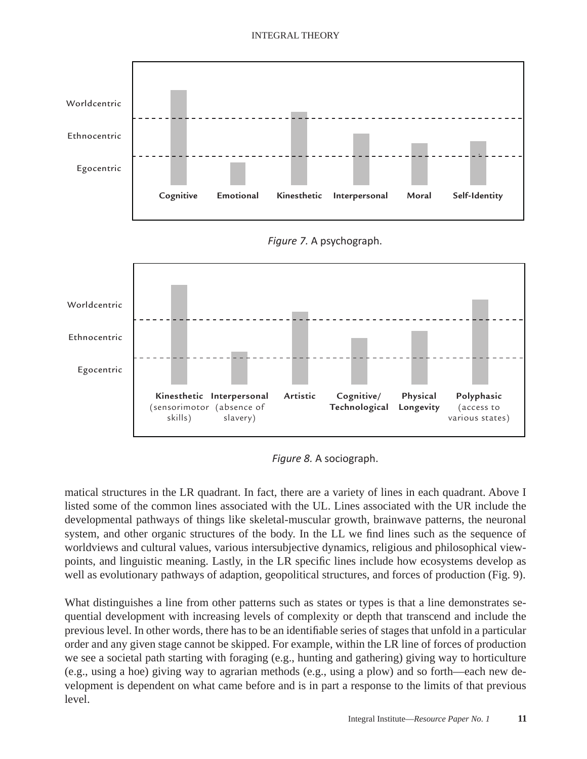#### INTEGRAL THEORY





*Figure 8.* A sociograph.

matical structures in the LR quadrant. In fact, there are a variety of lines in each quadrant. Above I listed some of the common lines associated with the UL. Lines associated with the UR include the developmental pathways of things like skeletal-muscular growth, brainwave patterns, the neuronal system, and other organic structures of the body. In the LL we find lines such as the sequence of worldviews and cultural values, various intersubjective dynamics, religious and philosophical viewpoints, and linguistic meaning. Lastly, in the LR specific lines include how ecosystems develop as well as evolutionary pathways of adaption, geopolitical structures, and forces of production (Fig. 9).

What distinguishes a line from other patterns such as states or types is that a line demonstrates sequential development with increasing levels of complexity or depth that transcend and include the previous level. In other words, there has to be an identifiable series of stages that unfold in a particular order and any given stage cannot be skipped. For example, within the LR line of forces of production we see a societal path starting with foraging (e.g., hunting and gathering) giving way to horticulture (e.g., using a hoe) giving way to agrarian methods (e.g., using a plow) and so forth—each new development is dependent on what came before and is in part a response to the limits of that previous level.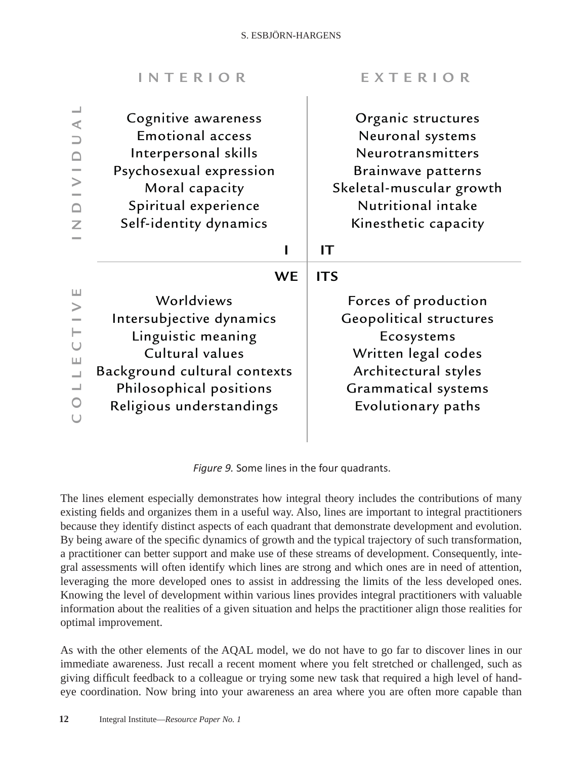| Cognitive awareness<br>Organic structures<br>⋖<br><b>Emotional access</b><br>Neuronal systems<br>Neurotransmitters<br>Interpersonal skills<br>$\Box$<br>Psychosexual expression<br>Brainwave patterns<br>Moral capacity<br>Skeletal-muscular growth<br>Nutritional intake<br>Spiritual experience<br>$\Box$<br>Self-identity dynamics<br>Kinesthetic capacity<br>Z<br>IT<br><b>WE</b><br><b>ITS</b><br>Ш<br>Worldviews<br>Forces of production<br>$\geq$<br><b>Geopolitical structures</b><br>Intersubjective dynamics<br>Linguistic meaning<br>Ecosystems<br>Cultural values<br>Written legal codes<br>$\sqcup$<br>Architectural styles<br>Background cultural contexts<br>$\overline{\phantom{0}}$<br>$\overline{\phantom{0}}$<br>Grammatical systems<br>Philosophical positions<br>Religious understandings<br>Evolutionary paths | <b>INTERIOR</b> | EXTERIOR |
|--------------------------------------------------------------------------------------------------------------------------------------------------------------------------------------------------------------------------------------------------------------------------------------------------------------------------------------------------------------------------------------------------------------------------------------------------------------------------------------------------------------------------------------------------------------------------------------------------------------------------------------------------------------------------------------------------------------------------------------------------------------------------------------------------------------------------------------|-----------------|----------|
|                                                                                                                                                                                                                                                                                                                                                                                                                                                                                                                                                                                                                                                                                                                                                                                                                                      |                 |          |
|                                                                                                                                                                                                                                                                                                                                                                                                                                                                                                                                                                                                                                                                                                                                                                                                                                      |                 |          |

*Figure 9.* Some lines in the four quadrants.

The lines element especially demonstrates how integral theory includes the contributions of many existing fields and organizes them in a useful way. Also, lines are important to integral practitioners because they identify distinct aspects of each quadrant that demonstrate development and evolution. By being aware of the specific dynamics of growth and the typical trajectory of such transformation, a practitioner can better support and make use of these streams of development. Consequently, integral assessments will often identify which lines are strong and which ones are in need of attention, leveraging the more developed ones to assist in addressing the limits of the less developed ones. Knowing the level of development within various lines provides integral practitioners with valuable information about the realities of a given situation and helps the practitioner align those realities for optimal improvement.

As with the other elements of the AQAL model, we do not have to go far to discover lines in our immediate awareness. Just recall a recent moment where you felt stretched or challenged, such as giving difficult feedback to a colleague or trying some new task that required a high level of handeye coordination. Now bring into your awareness an area where you are often more capable than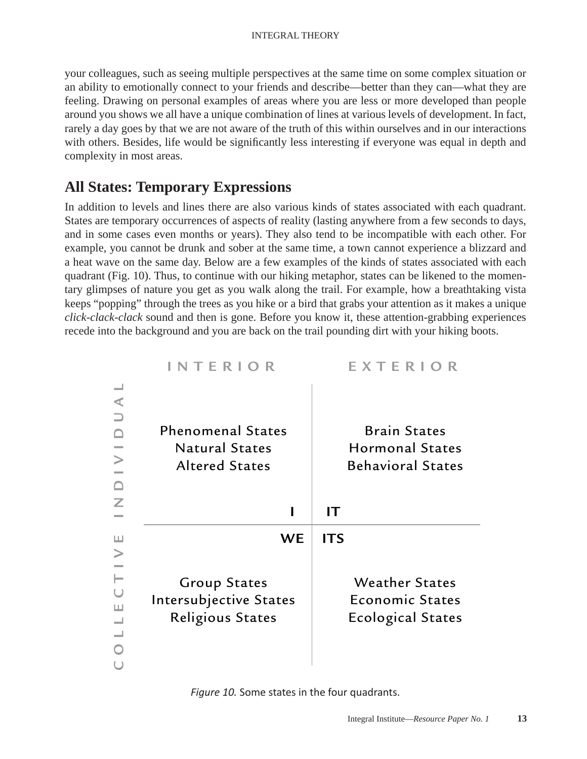your colleagues, such as seeing multiple perspectives at the same time on some complex situation or an ability to emotionally connect to your friends and describe—better than they can—what they are feeling. Drawing on personal examples of areas where you are less or more developed than people around you shows we all have a unique combination of lines at various levels of development. In fact, rarely a day goes by that we are not aware of the truth of this within ourselves and in our interactions with others. Besides, life would be significantly less interesting if everyone was equal in depth and complexity in most areas.

## **All States: Temporary Expressions**

In addition to levels and lines there are also various kinds of states associated with each quadrant. States are temporary occurrences of aspects of reality (lasting anywhere from a few seconds to days, and in some cases even months or years). They also tend to be incompatible with each other. For example, you cannot be drunk and sober at the same time, a town cannot experience a blizzard and a heat wave on the same day. Below are a few examples of the kinds of states associated with each quadrant (Fig. 10). Thus, to continue with our hiking metaphor, states can be likened to the momentary glimpses of nature you get as you walk along the trail. For example, how a breathtaking vista keeps "popping" through the trees as you hike or a bird that grabs your attention as it makes a unique *click-clack-clack* sound and then is gone. Before you know it, these attention-grabbing experiences recede into the background and you are back on the trail pounding dirt with your hiking boots.

| <b>INTERIOR</b>                                                            | EXTERIOR                                                                    |
|----------------------------------------------------------------------------|-----------------------------------------------------------------------------|
| <b>Phenomenal States</b><br><b>Natural States</b><br><b>Altered States</b> | <b>Brain States</b><br><b>Hormonal States</b><br><b>Behavioral States</b>   |
|                                                                            | IТ                                                                          |
| <b>WE</b>                                                                  | <b>ITS</b>                                                                  |
| <b>Group States</b><br>Intersubjective States<br><b>Religious States</b>   | <b>Weather States</b><br><b>Economic States</b><br><b>Ecological States</b> |

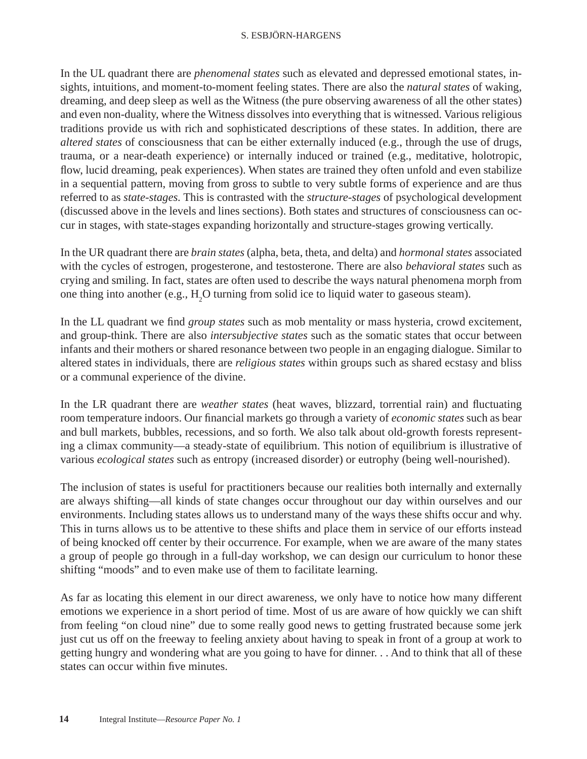#### S. ESBJÖRN-HARGENS

In the UL quadrant there are *phenomenal states* such as elevated and depressed emotional states, insights, intuitions, and moment-to-moment feeling states. There are also the *natural states* of waking, dreaming, and deep sleep as well as the Witness (the pure observing awareness of all the other states) and even non-duality, where the Witness dissolves into everything that is witnessed. Various religious traditions provide us with rich and sophisticated descriptions of these states. In addition, there are *altered states* of consciousness that can be either externally induced (e.g., through the use of drugs, trauma, or a near-death experience) or internally induced or trained (e.g., meditative, holotropic, flow, lucid dreaming, peak experiences). When states are trained they often unfold and even stabilize in a sequential pattern, moving from gross to subtle to very subtle forms of experience and are thus referred to as *state-stages.* This is contrasted with the *structure-stages* of psychological development (discussed above in the levels and lines sections). Both states and structures of consciousness can occur in stages, with state-stages expanding horizontally and structure-stages growing vertically.

In the UR quadrant there are *brain states* (alpha, beta, theta, and delta) and *hormonal states* associated with the cycles of estrogen, progesterone, and testosterone. There are also *behavioral states* such as crying and smiling. In fact, states are often used to describe the ways natural phenomena morph from one thing into another (e.g.,  $H_2O$  turning from solid ice to liquid water to gaseous steam).

In the LL quadrant we find *group states* such as mob mentality or mass hysteria, crowd excitement, and group-think. There are also *intersubjective states* such as the somatic states that occur between infants and their mothers or shared resonance between two people in an engaging dialogue. Similar to altered states in individuals, there are *religious states* within groups such as shared ecstasy and bliss or a communal experience of the divine.

In the LR quadrant there are *weather states* (heat waves, blizzard, torrential rain) and fluctuating room temperature indoors. Our financial markets go through a variety of *economic states* such as bear and bull markets, bubbles, recessions, and so forth. We also talk about old-growth forests representing a climax community—a steady-state of equilibrium. This notion of equilibrium is illustrative of various *ecological states* such as entropy (increased disorder) or eutrophy (being well-nourished).

The inclusion of states is useful for practitioners because our realities both internally and externally are always shifting—all kinds of state changes occur throughout our day within ourselves and our environments. Including states allows us to understand many of the ways these shifts occur and why. This in turns allows us to be attentive to these shifts and place them in service of our efforts instead of being knocked off center by their occurrence. For example, when we are aware of the many states a group of people go through in a full-day workshop, we can design our curriculum to honor these shifting "moods" and to even make use of them to facilitate learning.

As far as locating this element in our direct awareness, we only have to notice how many different emotions we experience in a short period of time. Most of us are aware of how quickly we can shift from feeling "on cloud nine" due to some really good news to getting frustrated because some jerk just cut us off on the freeway to feeling anxiety about having to speak in front of a group at work to getting hungry and wondering what are you going to have for dinner. . . And to think that all of these states can occur within five minutes.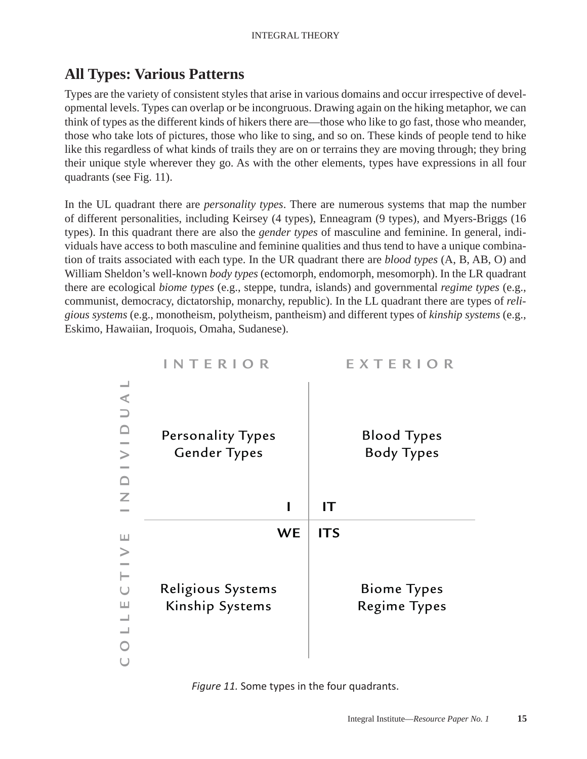## **All Types: Various Patterns**

Types are the variety of consistent styles that arise in various domains and occur irrespective of developmental levels. Types can overlap or be incongruous. Drawing again on the hiking metaphor, we can think of types as the different kinds of hikers there are—those who like to go fast, those who meander, those who take lots of pictures, those who like to sing, and so on. These kinds of people tend to hike like this regardless of what kinds of trails they are on or terrains they are moving through; they bring their unique style wherever they go. As with the other elements, types have expressions in all four quadrants (see Fig. 11).

In the UL quadrant there are *personality types*. There are numerous systems that map the number of different personalities, including Keirsey (4 types), Enneagram (9 types), and Myers-Briggs (16 types). In this quadrant there are also the *gender types* of masculine and feminine. In general, individuals have access to both masculine and feminine qualities and thus tend to have a unique combination of traits associated with each type. In the UR quadrant there are *blood types* (A, B, AB, O) and William Sheldon's well-known *body types* (ectomorph, endomorph, mesomorph). In the LR quadrant there are ecological *biome types* (e.g., steppe, tundra, islands) and governmental *regime types* (e.g., communist, democracy, dictatorship, monarchy, republic). In the LL quadrant there are types of *religious systems* (e.g., monotheism, polytheism, pantheism) and different types of *kinship systems* (e.g., Eskimo, Hawaiian, Iroquois, Omaha, Sudanese).



*Figure 11.* Some types in the four quadrants.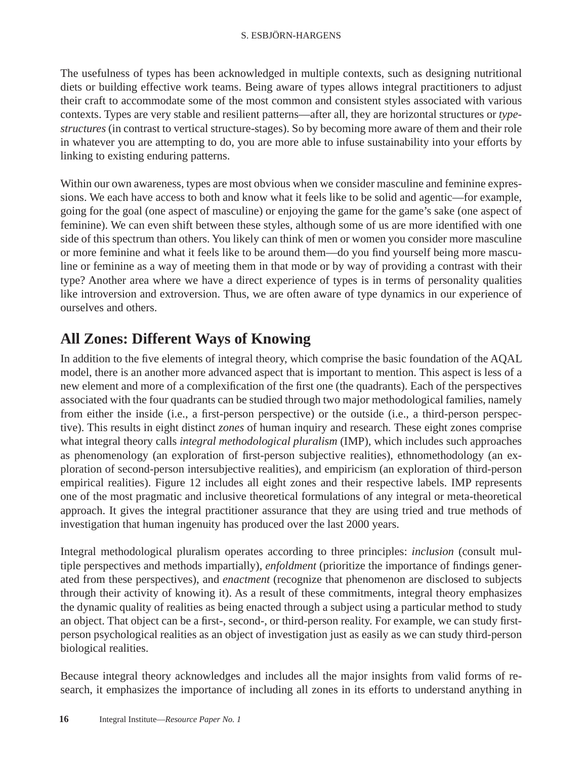The usefulness of types has been acknowledged in multiple contexts, such as designing nutritional diets or building effective work teams. Being aware of types allows integral practitioners to adjust their craft to accommodate some of the most common and consistent styles associated with various contexts. Types are very stable and resilient patterns—after all, they are horizontal structures or *typestructures* (in contrast to vertical structure-stages). So by becoming more aware of them and their role in whatever you are attempting to do, you are more able to infuse sustainability into your efforts by linking to existing enduring patterns.

Within our own awareness, types are most obvious when we consider masculine and feminine expressions. We each have access to both and know what it feels like to be solid and agentic—for example, going for the goal (one aspect of masculine) or enjoying the game for the game's sake (one aspect of feminine). We can even shift between these styles, although some of us are more identified with one side of this spectrum than others. You likely can think of men or women you consider more masculine or more feminine and what it feels like to be around them—do you find yourself being more masculine or feminine as a way of meeting them in that mode or by way of providing a contrast with their type? Another area where we have a direct experience of types is in terms of personality qualities like introversion and extroversion. Thus, we are often aware of type dynamics in our experience of ourselves and others.

## **All Zones: Different Ways of Knowing**

In addition to the five elements of integral theory, which comprise the basic foundation of the AQAL model, there is an another more advanced aspect that is important to mention. This aspect is less of a new element and more of a complexification of the first one (the quadrants). Each of the perspectives associated with the four quadrants can be studied through two major methodological families, namely from either the inside (i.e., a first-person perspective) or the outside (i.e., a third-person perspective). This results in eight distinct *zones* of human inquiry and research*.* These eight zones comprise what integral theory calls *integral methodological pluralism* (IMP)*,* which includes such approaches as phenomenology (an exploration of first-person subjective realities), ethnomethodology (an exploration of second-person intersubjective realities), and empiricism (an exploration of third-person empirical realities). Figure 12 includes all eight zones and their respective labels. IMP represents one of the most pragmatic and inclusive theoretical formulations of any integral or meta-theoretical approach. It gives the integral practitioner assurance that they are using tried and true methods of investigation that human ingenuity has produced over the last 2000 years.

Integral methodological pluralism operates according to three principles: *inclusion* (consult multiple perspectives and methods impartially), *enfoldment* (prioritize the importance of findings generated from these perspectives), and *enactment* (recognize that phenomenon are disclosed to subjects through their activity of knowing it). As a result of these commitments, integral theory emphasizes the dynamic quality of realities as being enacted through a subject using a particular method to study an object. That object can be a first-, second-, or third-person reality. For example, we can study firstperson psychological realities as an object of investigation just as easily as we can study third-person biological realities.

Because integral theory acknowledges and includes all the major insights from valid forms of research, it emphasizes the importance of including all zones in its efforts to understand anything in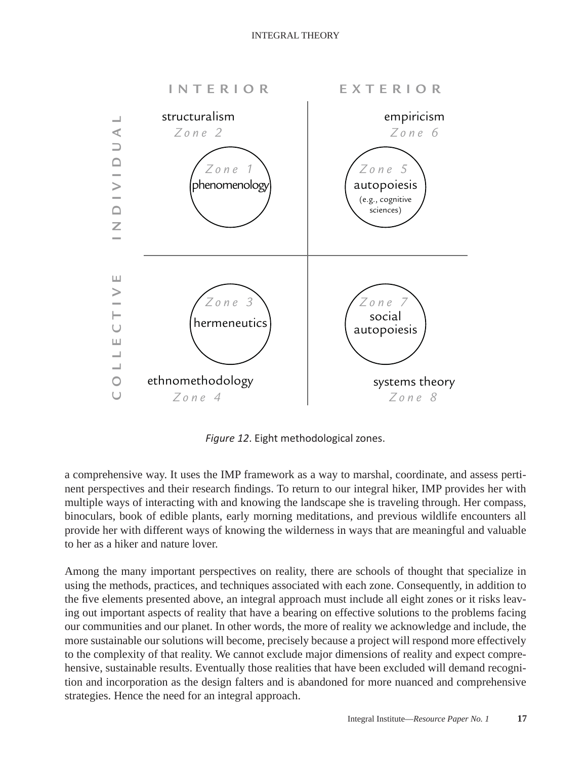

*Figure 12*. Eight methodological zones.

a comprehensive way. It uses the IMP framework as a way to marshal, coordinate, and assess pertinent perspectives and their research findings. To return to our integral hiker, IMP provides her with multiple ways of interacting with and knowing the landscape she is traveling through. Her compass, binoculars, book of edible plants, early morning meditations, and previous wildlife encounters all provide her with different ways of knowing the wilderness in ways that are meaningful and valuable to her as a hiker and nature lover.

Among the many important perspectives on reality, there are schools of thought that specialize in using the methods, practices, and techniques associated with each zone. Consequently, in addition to the five elements presented above, an integral approach must include all eight zones or it risks leaving out important aspects of reality that have a bearing on effective solutions to the problems facing our communities and our planet. In other words, the more of reality we acknowledge and include, the more sustainable our solutions will become, precisely because a project will respond more effectively to the complexity of that reality. We cannot exclude major dimensions of reality and expect comprehensive, sustainable results. Eventually those realities that have been excluded will demand recognition and incorporation as the design falters and is abandoned for more nuanced and comprehensive strategies. Hence the need for an integral approach.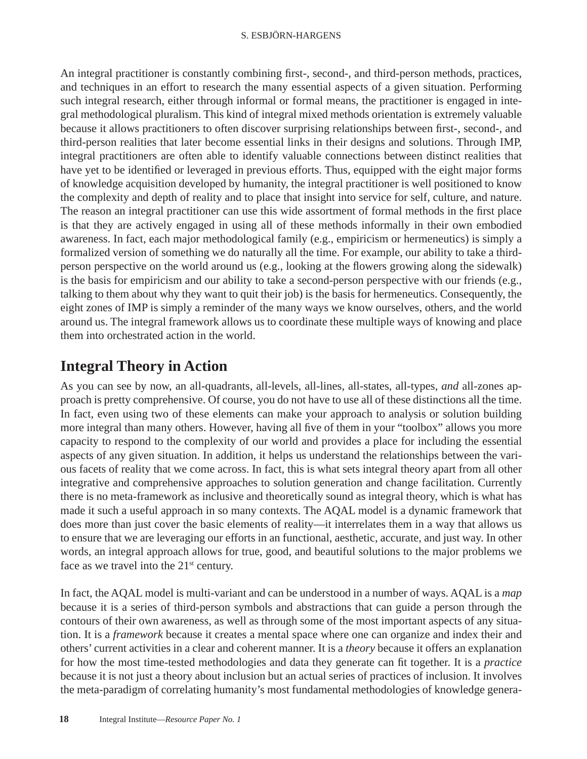An integral practitioner is constantly combining first-, second-, and third-person methods, practices, and techniques in an effort to research the many essential aspects of a given situation. Performing such integral research, either through informal or formal means, the practitioner is engaged in integral methodological pluralism. This kind of integral mixed methods orientation is extremely valuable because it allows practitioners to often discover surprising relationships between first-, second-, and third-person realities that later become essential links in their designs and solutions. Through IMP, integral practitioners are often able to identify valuable connections between distinct realities that have yet to be identified or leveraged in previous efforts. Thus, equipped with the eight major forms of knowledge acquisition developed by humanity, the integral practitioner is well positioned to know the complexity and depth of reality and to place that insight into service for self, culture, and nature. The reason an integral practitioner can use this wide assortment of formal methods in the first place is that they are actively engaged in using all of these methods informally in their own embodied awareness. In fact, each major methodological family (e.g., empiricism or hermeneutics) is simply a formalized version of something we do naturally all the time. For example, our ability to take a thirdperson perspective on the world around us (e.g., looking at the flowers growing along the sidewalk) is the basis for empiricism and our ability to take a second-person perspective with our friends (e.g., talking to them about why they want to quit their job) is the basis for hermeneutics. Consequently, the eight zones of IMP is simply a reminder of the many ways we know ourselves, others, and the world around us. The integral framework allows us to coordinate these multiple ways of knowing and place them into orchestrated action in the world.

## **Integral Theory in Action**

As you can see by now, an all-quadrants, all-levels, all-lines, all-states, all-types, *and* all-zones approach is pretty comprehensive. Of course, you do not have to use all of these distinctions all the time. In fact, even using two of these elements can make your approach to analysis or solution building more integral than many others. However, having all five of them in your "toolbox" allows you more capacity to respond to the complexity of our world and provides a place for including the essential aspects of any given situation. In addition, it helps us understand the relationships between the various facets of reality that we come across. In fact, this is what sets integral theory apart from all other integrative and comprehensive approaches to solution generation and change facilitation. Currently there is no meta-framework as inclusive and theoretically sound as integral theory, which is what has made it such a useful approach in so many contexts. The AQAL model is a dynamic framework that does more than just cover the basic elements of reality—it interrelates them in a way that allows us to ensure that we are leveraging our efforts in an functional, aesthetic, accurate, and just way. In other words, an integral approach allows for true, good, and beautiful solutions to the major problems we face as we travel into the  $21<sup>st</sup>$  century.

In fact, the AQAL model is multi-variant and can be understood in a number of ways. AQAL is a *map* because it is a series of third-person symbols and abstractions that can guide a person through the contours of their own awareness, as well as through some of the most important aspects of any situation. It is a *framework* because it creates a mental space where one can organize and index their and others' current activities in a clear and coherent manner. It is a *theory* because it offers an explanation for how the most time-tested methodologies and data they generate can fi t together. It is a *practice* because it is not just a theory about inclusion but an actual series of practices of inclusion. It involves the meta-paradigm of correlating humanity's most fundamental methodologies of knowledge genera-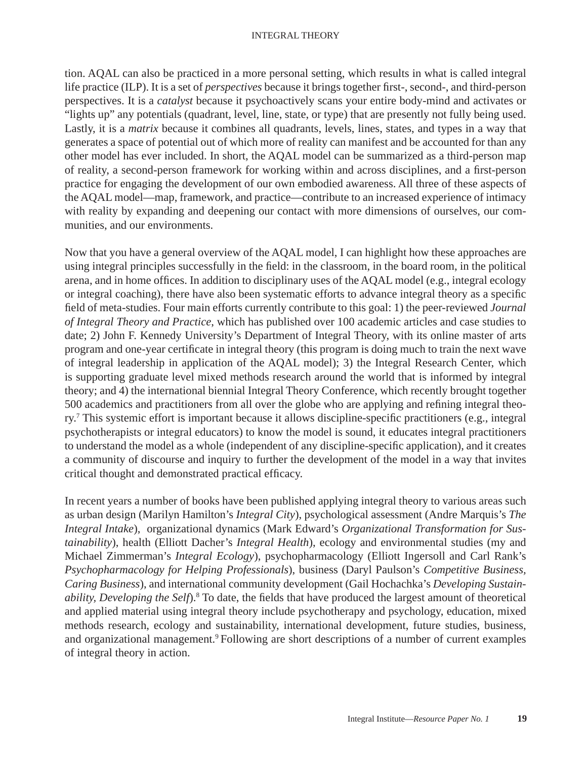#### INTEGRAL THEORY

tion. AQAL can also be practiced in a more personal setting, which results in what is called integral life practice (ILP). It is a set of *perspectives* because it brings together first-, second-, and third-person perspectives. It is a *catalyst* because it psychoactively scans your entire body-mind and activates or "lights up" any potentials (quadrant, level, line, state, or type) that are presently not fully being used. Lastly, it is a *matrix* because it combines all quadrants, levels, lines, states, and types in a way that generates a space of potential out of which more of reality can manifest and be accounted for than any other model has ever included. In short, the AQAL model can be summarized as a third-person map of reality, a second-person framework for working within and across disciplines, and a first-person practice for engaging the development of our own embodied awareness. All three of these aspects of the AQAL model—map, framework, and practice—contribute to an increased experience of intimacy with reality by expanding and deepening our contact with more dimensions of ourselves, our communities, and our environments.

Now that you have a general overview of the AQAL model, I can highlight how these approaches are using integral principles successfully in the field: in the classroom, in the board room, in the political arena, and in home offices. In addition to disciplinary uses of the AQAL model (e.g., integral ecology or integral coaching), there have also been systematic efforts to advance integral theory as a specific field of meta-studies. Four main efforts currently contribute to this goal: 1) the peer-reviewed *Journal of Integral Theory and Practice*, which has published over 100 academic articles and case studies to date; 2) John F. Kennedy University's Department of Integral Theory, with its online master of arts program and one-year certificate in integral theory (this program is doing much to train the next wave of integral leadership in application of the AQAL model); 3) the Integral Research Center, which is supporting graduate level mixed methods research around the world that is informed by integral theory; and 4) the international biennial Integral Theory Conference, which recently brought together 500 academics and practitioners from all over the globe who are applying and refining integral theory.<sup>7</sup> This systemic effort is important because it allows discipline-specific practitioners (e.g., integral psychotherapists or integral educators) to know the model is sound, it educates integral practitioners to understand the model as a whole (independent of any discipline-specific application), and it creates a community of discourse and inquiry to further the development of the model in a way that invites critical thought and demonstrated practical efficacy.

In recent years a number of books have been published applying integral theory to various areas such as urban design (Marilyn Hamilton's *Integral City*), psychological assessment (Andre Marquis's *The Integral Intake*), organizational dynamics (Mark Edward's *Organizational Transformation for Sustainability*), health (Elliott Dacher's *Integral Health*), ecology and environmental studies (my and Michael Zimmerman's *Integral Ecology*), psychopharmacology (Elliott Ingersoll and Carl Rank's *Psychopharmacology for Helping Professionals*), business (Daryl Paulson's *Competitive Business, Caring Business*), and international community development (Gail Hochachka's *Developing Sustainability, Developing the Self*).<sup>8</sup> To date, the fields that have produced the largest amount of theoretical and applied material using integral theory include psychotherapy and psychology, education, mixed methods research, ecology and sustainability, international development, future studies, business, and organizational management.<sup>9</sup> Following are short descriptions of a number of current examples of integral theory in action.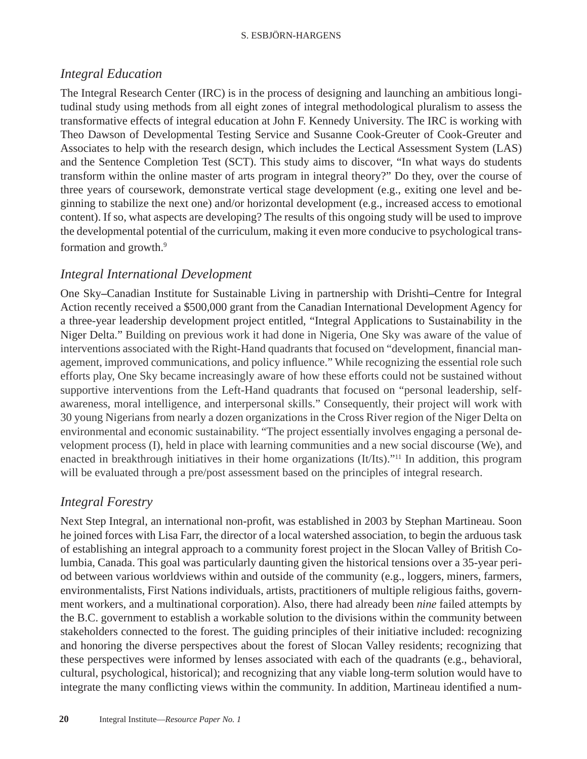#### S. ESBJÖRN-HARGENS

### *Integral Education*

The Integral Research Center (IRC) is in the process of designing and launching an ambitious longitudinal study using methods from all eight zones of integral methodological pluralism to assess the transformative effects of integral education at John F. Kennedy University. The IRC is working with Theo Dawson of Developmental Testing Service and Susanne Cook-Greuter of Cook-Greuter and Associates to help with the research design, which includes the Lectical Assessment System (LAS) and the Sentence Completion Test (SCT). This study aims to discover, "In what ways do students transform within the online master of arts program in integral theory?" Do they, over the course of three years of coursework, demonstrate vertical stage development (e.g., exiting one level and beginning to stabilize the next one) and/or horizontal development (e.g., increased access to emotional content). If so, what aspects are developing? The results of this ongoing study will be used to improve the developmental potential of the curriculum, making it even more conducive to psychological transformation and growth.<sup>9</sup>

### *Integral International Development*

One Sky**–**Canadian Institute for Sustainable Living in partnership with Drishti**–**Centre for Integral Action recently received a \$500,000 grant from the Canadian International Development Agency for a three-year leadership development project entitled, "Integral Applications to Sustainability in the Niger Delta." Building on previous work it had done in Nigeria, One Sky was aware of the value of interventions associated with the Right-Hand quadrants that focused on "development, financial management, improved communications, and policy influence." While recognizing the essential role such efforts play, One Sky became increasingly aware of how these efforts could not be sustained without supportive interventions from the Left-Hand quadrants that focused on "personal leadership, selfawareness, moral intelligence, and interpersonal skills." Consequently, their project will work with 30 young Nigerians from nearly a dozen organizations in the Cross River region of the Niger Delta on environmental and economic sustainability. "The project essentially involves engaging a personal development process (I), held in place with learning communities and a new social discourse (We), and enacted in breakthrough initiatives in their home organizations (It/Its).<sup>"11</sup> In addition, this program will be evaluated through a pre/post assessment based on the principles of integral research.

## *Integral Forestry*

Next Step Integral, an international non-profit, was established in 2003 by Stephan Martineau. Soon he joined forces with Lisa Farr, the director of a local watershed association, to begin the arduous task of establishing an integral approach to a community forest project in the Slocan Valley of British Columbia, Canada. This goal was particularly daunting given the historical tensions over a 35-year period between various worldviews within and outside of the community (e.g., loggers, miners, farmers, environmentalists, First Nations individuals, artists, practitioners of multiple religious faiths, government workers, and a multinational corporation). Also, there had already been *nine* failed attempts by the B.C. government to establish a workable solution to the divisions within the community between stakeholders connected to the forest. The guiding principles of their initiative included: recognizing and honoring the diverse perspectives about the forest of Slocan Valley residents; recognizing that these perspectives were informed by lenses associated with each of the quadrants (e.g., behavioral, cultural, psychological, historical); and recognizing that any viable long-term solution would have to integrate the many conflicting views within the community. In addition, Martineau identified a num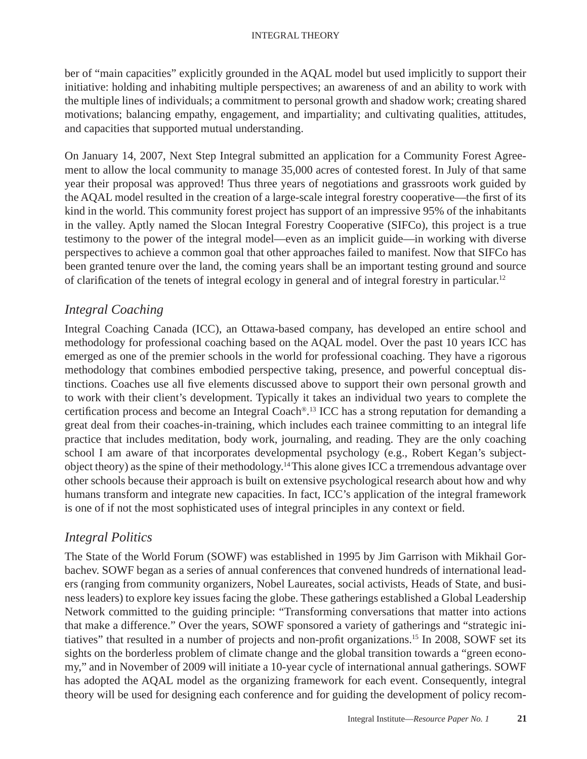ber of "main capacities" explicitly grounded in the AQAL model but used implicitly to support their initiative: holding and inhabiting multiple perspectives; an awareness of and an ability to work with the multiple lines of individuals; a commitment to personal growth and shadow work; creating shared motivations; balancing empathy, engagement, and impartiality; and cultivating qualities, attitudes, and capacities that supported mutual understanding.

On January 14, 2007, Next Step Integral submitted an application for a Community Forest Agreement to allow the local community to manage 35,000 acres of contested forest. In July of that same year their proposal was approved! Thus three years of negotiations and grassroots work guided by the AQAL model resulted in the creation of a large-scale integral forestry cooperative—the first of its kind in the world. This community forest project has support of an impressive 95% of the inhabitants in the valley. Aptly named the Slocan Integral Forestry Cooperative (SIFCo), this project is a true testimony to the power of the integral model—even as an implicit guide—in working with diverse perspectives to achieve a common goal that other approaches failed to manifest. Now that SIFCo has been granted tenure over the land, the coming years shall be an important testing ground and source of clarification of the tenets of integral ecology in general and of integral forestry in particular.<sup>12</sup>

### *Integral Coaching*

Integral Coaching Canada (ICC), an Ottawa-based company, has developed an entire school and methodology for professional coaching based on the AQAL model. Over the past 10 years ICC has emerged as one of the premier schools in the world for professional coaching. They have a rigorous methodology that combines embodied perspective taking, presence, and powerful conceptual distinctions. Coaches use all five elements discussed above to support their own personal growth and to work with their client's development. Typically it takes an individual two years to complete the certification process and become an Integral Coach®.<sup>13</sup> ICC has a strong reputation for demanding a great deal from their coaches-in-training, which includes each trainee committing to an integral life practice that includes meditation, body work, journaling, and reading. They are the only coaching school I am aware of that incorporates developmental psychology (e.g., Robert Kegan's subjectobject theory) as the spine of their methodology.14 This alone gives ICC a trremendous advantage over other schools because their approach is built on extensive psychological research about how and why humans transform and integrate new capacities. In fact, ICC's application of the integral framework is one of if not the most sophisticated uses of integral principles in any context or field.

### *Integral Politics*

The State of the World Forum (SOWF) was established in 1995 by Jim Garrison with Mikhail Gorbachev. SOWF began as a series of annual conferences that convened hundreds of international leaders (ranging from community organizers, Nobel Laureates, social activists, Heads of State, and business leaders) to explore key issues facing the globe. These gatherings established a Global Leadership Network committed to the guiding principle: "Transforming conversations that matter into actions that make a difference." Over the years, SOWF sponsored a variety of gatherings and "strategic initiatives" that resulted in a number of projects and non-profit organizations.<sup>15</sup> In 2008, SOWF set its sights on the borderless problem of climate change and the global transition towards a "green economy," and in November of 2009 will initiate a 10-year cycle of international annual gatherings. SOWF has adopted the AQAL model as the organizing framework for each event. Consequently, integral theory will be used for designing each conference and for guiding the development of policy recom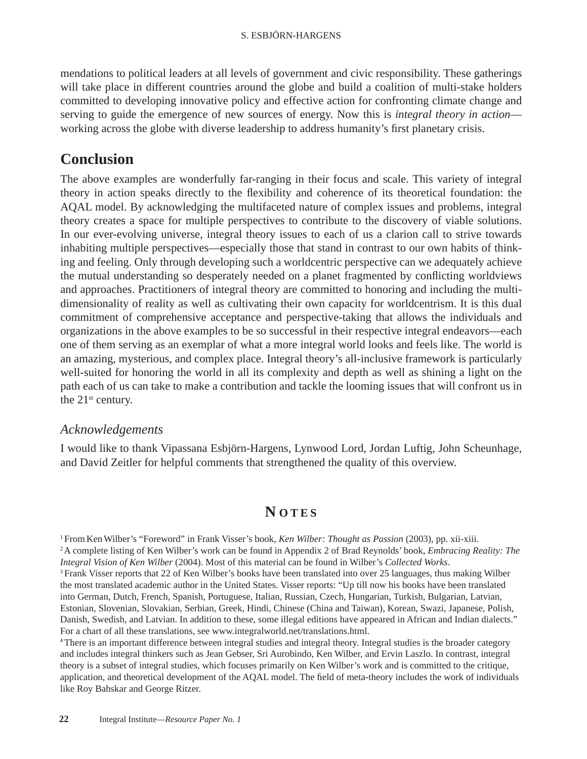mendations to political leaders at all levels of government and civic responsibility. These gatherings will take place in different countries around the globe and build a coalition of multi-stake holders committed to developing innovative policy and effective action for confronting climate change and serving to guide the emergence of new sources of energy. Now this is *integral theory in action* working across the globe with diverse leadership to address humanity's first planetary crisis.

## **Conclusion**

The above examples are wonderfully far-ranging in their focus and scale. This variety of integral theory in action speaks directly to the flexibility and coherence of its theoretical foundation: the AQAL model. By acknowledging the multifaceted nature of complex issues and problems, integral theory creates a space for multiple perspectives to contribute to the discovery of viable solutions. In our ever-evolving universe, integral theory issues to each of us a clarion call to strive towards inhabiting multiple perspectives—especially those that stand in contrast to our own habits of thinking and feeling. Only through developing such a worldcentric perspective can we adequately achieve the mutual understanding so desperately needed on a planet fragmented by conflicting worldviews and approaches. Practitioners of integral theory are committed to honoring and including the multidimensionality of reality as well as cultivating their own capacity for worldcentrism. It is this dual commitment of comprehensive acceptance and perspective-taking that allows the individuals and organizations in the above examples to be so successful in their respective integral endeavors—each one of them serving as an exemplar of what a more integral world looks and feels like. The world is an amazing, mysterious, and complex place. Integral theory's all-inclusive framework is particularly well-suited for honoring the world in all its complexity and depth as well as shining a light on the path each of us can take to make a contribution and tackle the looming issues that will confront us in the  $21<sup>st</sup>$  century.

### *Acknowledgements*

I would like to thank Vipassana Esbjörn-Hargens, Lynwood Lord, Jordan Luftig, John Scheunhage, and David Zeitler for helpful comments that strengthened the quality of this overview.

## **N OTES**

<sup>1</sup> From Ken Wilber's "Foreword" in Frank Visser's book, *Ken Wilber: Thought as Passion* (2003), pp. xii-xiii.<br><sup>2</sup> A complete listing of Ken Wilber's work can be found in Appendix 2 of Brad Reynolds' book, *Embracing Rea Integral Vision of Ken Wilber* (2004). Most of this material can be found in Wilber's *Collected Works*. <sup>3</sup> Frank Visser reports that 22 of Ken Wilber's books have been translated into over 25 languages, thus making Wilber the most translated academic author in the United States. Visser reports: "Up till now his books have been translated into German, Dutch, French, Spanish, Portuguese, Italian, Russian, Czech, Hungarian, Turkish, Bulgarian, Latvian, Estonian, Slovenian, Slovakian, Serbian, Greek, Hindi, Chinese (China and Taiwan), Korean, Swazi, Japanese, Polish, Danish, Swedish, and Latvian. In addition to these, some illegal editions have appeared in African and Indian dialects." For a chart of all these translations, see www.integralworld.net/translations.html.

4 There is an important difference between integral studies and integral theory. Integral studies is the broader category and includes integral thinkers such as Jean Gebser, Sri Aurobindo, Ken Wilber, and Ervin Laszlo. In contrast, integral theory is a subset of integral studies, which focuses primarily on Ken Wilber's work and is committed to the critique, application, and theoretical development of the AQAL model. The field of meta-theory includes the work of individuals like Roy Bahskar and George Ritzer.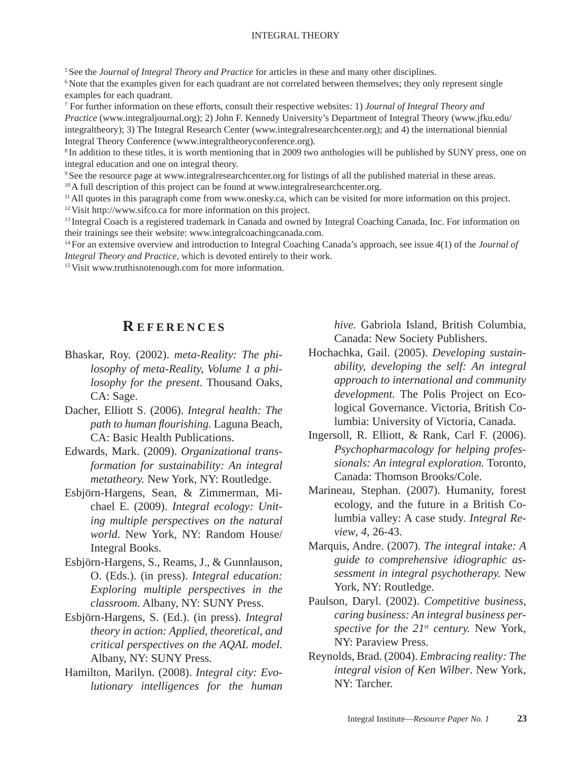#### INTEGRAL THEORY

5 See the *Journal of Integral Theory and Practice* for articles in these and many other disciplines.

<sup>6</sup> Note that the examples given for each quadrant are not correlated between themselves; they only represent single examples for each quadrant.

7 For further information on these efforts, consult their respective websites: 1) *Journal of Integral Theory and Practice* (www.integraljournal.org); 2) John F. Kennedy University's Department of Integral Theory (www.jfku.edu/ integraltheory); 3) The Integral Research Center (www.integralresearchcenter.org); and 4) the international biennial Integral Theory Conference (www.integraltheoryconference.org).

<sup>8</sup> In addition to these titles, it is worth mentioning that in 2009 two anthologies will be published by SUNY press, one on integral education and one on integral theory.

9 See the resource page at www.integralresearchcenter.org for listings of all the published material in these areas.

<sup>10</sup> A full description of this project can be found at www.integralresearchcenter.org.

<sup>11</sup> All quotes in this paragraph come from www.onesky.ca, which can be visited for more information on this project. 12 Visit http://www.sifco.ca for more information on this project.

<sup>13</sup> Integral Coach is a registered trademark in Canada and owned by Integral Coaching Canada, Inc. For information on their trainings see their website: www.integralcoachingcanada.com.

14 For an extensive overview and introduction to Integral Coaching Canada's approach, see issue 4(1) of the *Journal of Integral Theory and Practice*, which is devoted entirely to their work.

<sup>15</sup> Visit www.truthisnotenough.com for more information.

### **R EFERENCES**

Bhaskar, Roy. (2002). *meta-Reality: The philosophy of meta-Reality, Volume 1 a philosophy for the present*. Thousand Oaks, CA: Sage.

Dacher, Elliott S. (2006). *Integral health: The path to human fl ourishing.* Laguna Beach, CA: Basic Health Publications.

- Edwards, Mark. (2009). *Organizational transformation for sustainability: An integral metatheory.* New York, NY: Routledge.
- Esbjörn-Hargens, Sean, & Zimmerman, Michael E. (2009). *Integral ecology: Uniting multiple perspectives on the natural world*. New York, NY: Random House/ Integral Books.
- Esbjörn-Hargens, S., Reams, J., & Gunnlauson, O. (Eds.). (in press). *Integral education: Exploring multiple perspectives in the classroom.* Albany, NY: SUNY Press.
- Esbjörn-Hargens, S. (Ed.). (in press). *Integral theory in action: Applied, theoretical, and critical perspectives on the AQAL model.* Albany, NY: SUNY Press.
- Hamilton, Marilyn. (2008). *Integral city: Evolutionary intelligences for the human*

*hive.* Gabriola Island, British Columbia, Canada: New Society Publishers.

- Hochachka, Gail. (2005). *Developing sustainability, developing the self: An integral approach to international and community development.* The Polis Project on Ecological Governance. Victoria, British Columbia: University of Victoria, Canada.
- Ingersoll, R. Elliott, & Rank, Carl F. (2006). *Psychopharmacology for helping professionals: An integral exploration.* Toronto, Canada: Thomson Brooks/Cole.
- Marineau, Stephan. (2007). Humanity, forest ecology, and the future in a British Columbia valley: A case study. *Integral Review*, *4*, 26-43.
- Marquis, Andre. (2007). *The integral intake: A guide to comprehensive idiographic assessment in integral psychotherapy.* New York, NY: Routledge.
- Paulson, Daryl. (2002). *Competitive business, caring business: An integral business perspective for the 21st century.* New York, NY: Paraview Press.
- Reynolds, Brad. (2004). *Embracing reality: The integral vision of Ken Wilber*. New York, NY: Tarcher.